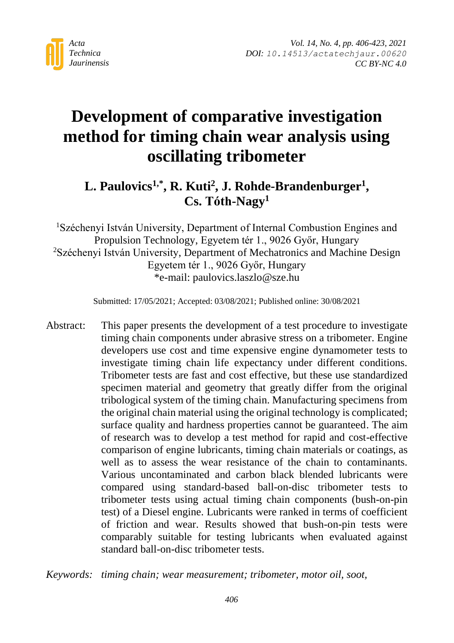

# **Development of comparative investigation method for timing chain wear analysis using oscillating tribometer**

# **L. Paulovics1,\* , R. Kuti<sup>2</sup> , J. Rohde-Brandenburger<sup>1</sup> , Cs. Tóth-Nagy<sup>1</sup>**

<sup>1</sup>Széchenyi István University, Department of Internal Combustion Engines and Propulsion Technology, Egyetem tér 1., 9026 Győr, Hungary <sup>2</sup>Széchenyi István University, Department of Mechatronics and Machine Design Egyetem tér 1., 9026 Győr, Hungary \*e-mail: paulovics.laszlo@sze.hu

Submitted: 17/05/2021; Accepted: 03/08/2021; Published online: 30/08/2021

Abstract: This paper presents the development of a test procedure to investigate timing chain components under abrasive stress on a tribometer. Engine developers use cost and time expensive engine dynamometer tests to investigate timing chain life expectancy under different conditions. Tribometer tests are fast and cost effective, but these use standardized specimen material and geometry that greatly differ from the original tribological system of the timing chain. Manufacturing specimens from the original chain material using the original technology is complicated; surface quality and hardness properties cannot be guaranteed. The aim of research was to develop a test method for rapid and cost-effective comparison of engine lubricants, timing chain materials or coatings, as well as to assess the wear resistance of the chain to contaminants. Various uncontaminated and carbon black blended lubricants were compared using standard-based ball-on-disc tribometer tests to tribometer tests using actual timing chain components (bush-on-pin test) of a Diesel engine. Lubricants were ranked in terms of coefficient of friction and wear. Results showed that bush-on-pin tests were comparably suitable for testing lubricants when evaluated against standard ball-on-disc tribometer tests.

*Keywords: timing chain; wear measurement; tribometer, motor oil, soot,*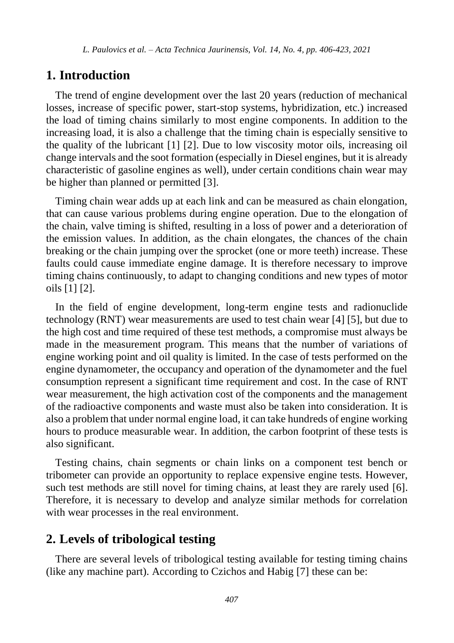# **1. Introduction**

The trend of engine development over the last 20 years (reduction of mechanical losses, increase of specific power, start-stop systems, hybridization, etc.) increased the load of timing chains similarly to most engine components. In addition to the increasing load, it is also a challenge that the timing chain is especially sensitive to the quality of the lubricant [\[1\]](#page-14-0) [\[2\].](#page-15-0) Due to low viscosity motor oils, increasing oil change intervals and the soot formation (especially in Diesel engines, but it is already characteristic of gasoline engines as well), under certain conditions chain wear may be higher than planned or permitted [\[3\].](#page-15-1)

Timing chain wear adds up at each link and can be measured as chain elongation, that can cause various problems during engine operation. Due to the elongation of the chain, valve timing is shifted, resulting in a loss of power and a deterioration of the emission values. In addition, as the chain elongates, the chances of the chain breaking or the chain jumping over the sprocket (one or more teeth) increase. These faults could cause immediate engine damage. It is therefore necessary to improve timing chains continuously, to adapt to changing conditions and new types of motor oils [\[1\]](#page-14-0) [\[2\].](#page-15-0)

In the field of engine development, long-term engine tests and radionuclide technology (RNT) wear measurements are used to test chain wear [\[4\]](#page-15-2) [\[5\],](#page-15-3) but due to the high cost and time required of these test methods, a compromise must always be made in the measurement program. This means that the number of variations of engine working point and oil quality is limited. In the case of tests performed on the engine dynamometer, the occupancy and operation of the dynamometer and the fuel consumption represent a significant time requirement and cost. In the case of RNT wear measurement, the high activation cost of the components and the management of the radioactive components and waste must also be taken into consideration. It is also a problem that under normal engine load, it can take hundreds of engine working hours to produce measurable wear. In addition, the carbon footprint of these tests is also significant.

Testing chains, chain segments or chain links on a component test bench or tribometer can provide an opportunity to replace expensive engine tests. However, such test methods are still novel for timing chains, at least they are rarely used [\[6\].](#page-15-4) Therefore, it is necessary to develop and analyze similar methods for correlation with wear processes in the real environment.

# **2. Levels of tribological testing**

There are several levels of tribological testing available for testing timing chains (like any machine part). According to Czichos and Habig [\[7\]](#page-15-5) these can be: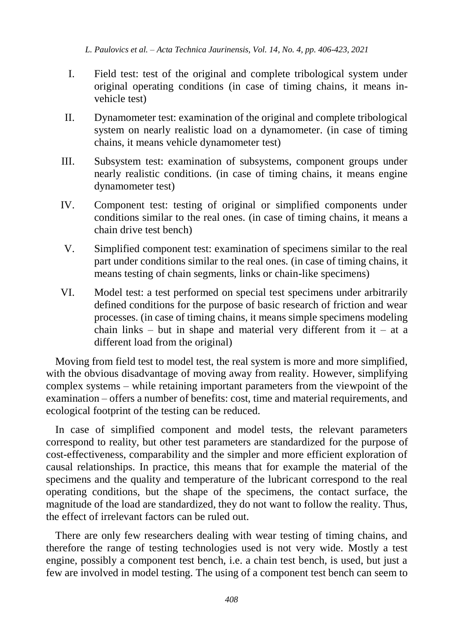- I. Field test: test of the original and complete tribological system under original operating conditions (in case of timing chains, it means invehicle test)
- II. Dynamometer test: examination of the original and complete tribological system on nearly realistic load on a dynamometer. (in case of timing chains, it means vehicle dynamometer test)
- III. Subsystem test: examination of subsystems, component groups under nearly realistic conditions. (in case of timing chains, it means engine dynamometer test)
- IV. Component test: testing of original or simplified components under conditions similar to the real ones. (in case of timing chains, it means a chain drive test bench)
- V. Simplified component test: examination of specimens similar to the real part under conditions similar to the real ones. (in case of timing chains, it means testing of chain segments, links or chain-like specimens)
- VI. Model test: a test performed on special test specimens under arbitrarily defined conditions for the purpose of basic research of friction and wear processes. (in case of timing chains, it means simple specimens modeling chain links – but in shape and material very different from it – at a different load from the original)

Moving from field test to model test, the real system is more and more simplified, with the obvious disadvantage of moving away from reality. However, simplifying complex systems – while retaining important parameters from the viewpoint of the examination – offers a number of benefits: cost, time and material requirements, and ecological footprint of the testing can be reduced.

In case of simplified component and model tests, the relevant parameters correspond to reality, but other test parameters are standardized for the purpose of cost-effectiveness, comparability and the simpler and more efficient exploration of causal relationships. In practice, this means that for example the material of the specimens and the quality and temperature of the lubricant correspond to the real operating conditions, but the shape of the specimens, the contact surface, the magnitude of the load are standardized, they do not want to follow the reality. Thus, the effect of irrelevant factors can be ruled out.

There are only few researchers dealing with wear testing of timing chains, and therefore the range of testing technologies used is not very wide. Mostly a test engine, possibly a component test bench, i.e. a chain test bench, is used, but just a few are involved in model testing. The using of a component test bench can seem to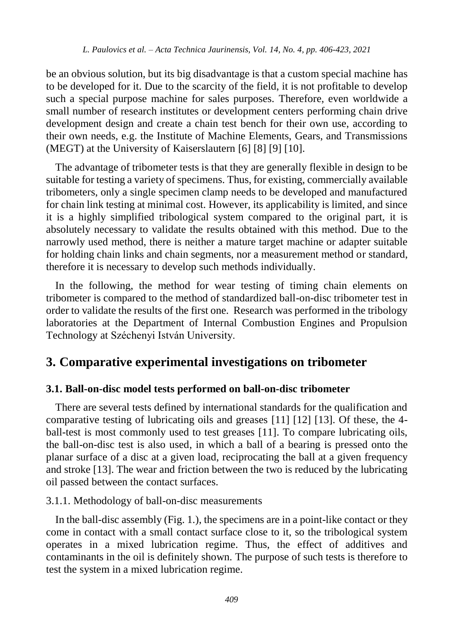be an obvious solution, but its big disadvantage is that a custom special machine has to be developed for it. Due to the scarcity of the field, it is not profitable to develop such a special purpose machine for sales purposes. Therefore, even worldwide a small number of research institutes or development centers performing chain drive development design and create a chain test bench for their own use, according to their own needs, e.g. the Institute of Machine Elements, Gears, and Transmissions (MEGT) at the University of Kaiserslautern [\[6\]](#page-15-4) [\[8\]](#page-15-6) [\[9\]](#page-15-7) [\[10\].](#page-15-8)

The advantage of tribometer tests is that they are generally flexible in design to be suitable for testing a variety of specimens. Thus, for existing, commercially available tribometers, only a single specimen clamp needs to be developed and manufactured for chain link testing at minimal cost. However, its applicability is limited, and since it is a highly simplified tribological system compared to the original part, it is absolutely necessary to validate the results obtained with this method. Due to the narrowly used method, there is neither a mature target machine or adapter suitable for holding chain links and chain segments, nor a measurement method or standard, therefore it is necessary to develop such methods individually.

In the following, the method for wear testing of timing chain elements on tribometer is compared to the method of standardized ball-on-disc tribometer test in order to validate the results of the first one. Research was performed in the tribology laboratories at the Department of Internal Combustion Engines and Propulsion Technology at Széchenyi István University.

# **3. Comparative experimental investigations on tribometer**

#### **3.1. Ball-on-disc model tests performed on ball-on-disc tribometer**

There are several tests defined by international standards for the qualification and comparative testing of lubricating oils and greases [\[11\]](#page-16-0) [\[12\]](#page-16-1) [\[13\].](#page-16-2) Of these, the 4 ball-test is most commonly used to test greases [\[11\].](#page-16-0) To compare lubricating oils, the ball-on-disc test is also used, in which a ball of a bearing is pressed onto the planar surface of a disc at a given load, reciprocating the ball at a given frequency and stroke [\[13\].](#page-16-2) The wear and friction between the two is reduced by the lubricating oil passed between the contact surfaces.

3.1.1. Methodology of ball-on-disc measurements

In the ball-disc assembly (Fig. 1.), the specimens are in a point-like contact or they come in contact with a small contact surface close to it, so the tribological system operates in a mixed lubrication regime. Thus, the effect of additives and contaminants in the oil is definitely shown. The purpose of such tests is therefore to test the system in a mixed lubrication regime.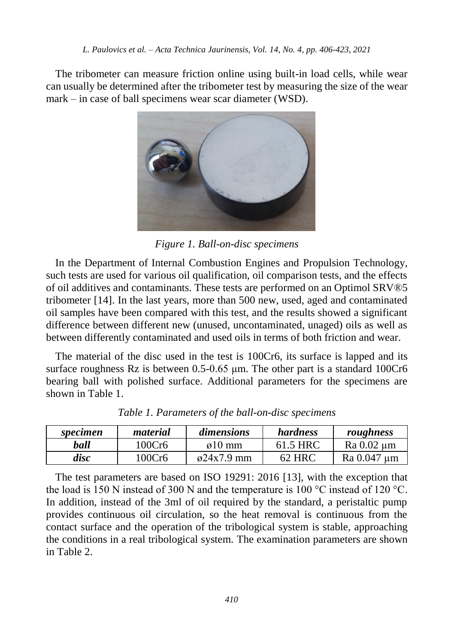The tribometer can measure friction online using built-in load cells, while wear can usually be determined after the tribometer test by measuring the size of the wear mark – in case of ball specimens wear scar diameter (WSD).



*Figure 1. Ball-on-disc specimens*

In the Department of Internal Combustion Engines and Propulsion Technology, such tests are used for various oil qualification, oil comparison tests, and the effects of oil additives and contaminants. These tests are performed on an Optimol SRV®5 tribometer [\[14\].](#page-16-3) In the last years, more than 500 new, used, aged and contaminated oil samples have been compared with this test, and the results showed a significant difference between different new (unused, uncontaminated, unaged) oils as well as between differently contaminated and used oils in terms of both friction and wear.

The material of the disc used in the test is 100Cr6, its surface is lapped and its surface roughness Rz is between 0.5-0.65 μm. The other part is a standard 100Cr6 bearing ball with polished surface. Additional parameters for the specimens are shown in [Table 1.](#page-4-0)

<span id="page-4-0"></span>

| specimen | material | <i>dimensions</i>   | hardness | roughness   |
|----------|----------|---------------------|----------|-------------|
| ball     | 100Cr6   | $\varnothing$ 10 mm | 61.5 HRC | Ra 0.02 um  |
| disc     | 100Cr6   | $\omega$ 24x7.9 mm  | 62 HRC   | Ra 0.047 um |

*Table 1. Parameters of the ball-on-disc specimens*

The test parameters are based on ISO 19291: 2016 [\[13\],](#page-16-2) with the exception that the load is 150 N instead of 300 N and the temperature is 100 °C instead of 120 °C. In addition, instead of the 3ml of oil required by the standard, a peristaltic pump provides continuous oil circulation, so the heat removal is continuous from the contact surface and the operation of the tribological system is stable, approaching the conditions in a real tribological system. The examination parameters are shown in [Table 2.](#page-5-0)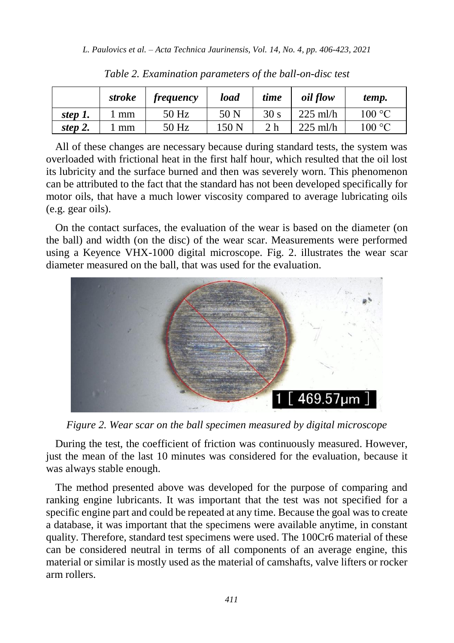<span id="page-5-0"></span>

|         | stroke | <i>frequency</i> | load  | time            | <i>oil</i> flow | temp.  |
|---------|--------|------------------|-------|-----------------|-----------------|--------|
| step 1. | mm     | 50 Hz            | 50 N  | 30 <sub>s</sub> | $225$ ml/h      | 100 °C |
| step 2. | mm     | 50 Hz            | 150 N | 2 h             | $225$ ml/h      | 100 °C |

*Table 2. Examination parameters of the ball-on-disc test*

All of these changes are necessary because during standard tests, the system was overloaded with frictional heat in the first half hour, which resulted that the oil lost its lubricity and the surface burned and then was severely worn. This phenomenon can be attributed to the fact that the standard has not been developed specifically for motor oils, that have a much lower viscosity compared to average lubricating oils (e.g. gear oils).

On the contact surfaces, the evaluation of the wear is based on the diameter (on the ball) and width (on the disc) of the wear scar. Measurements were performed using a Keyence VHX-1000 digital microscope. Fig. 2. illustrates the wear scar diameter measured on the ball, that was used for the evaluation.



*Figure 2. Wear scar on the ball specimen measured by digital microscope*

During the test, the coefficient of friction was continuously measured. However, just the mean of the last 10 minutes was considered for the evaluation, because it was always stable enough.

The method presented above was developed for the purpose of comparing and ranking engine lubricants. It was important that the test was not specified for a specific engine part and could be repeated at any time. Because the goal was to create a database, it was important that the specimens were available anytime, in constant quality. Therefore, standard test specimens were used. The 100Cr6 material of these can be considered neutral in terms of all components of an average engine, this material or similar is mostly used as the material of camshafts, valve lifters or rocker arm rollers.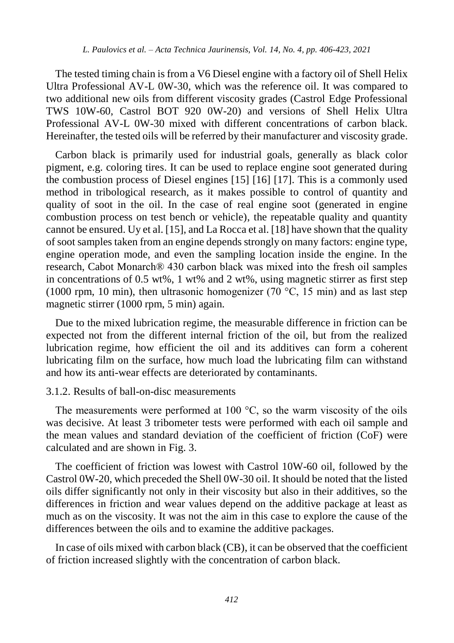The tested timing chain is from a V6 Diesel engine with a factory oil of Shell Helix Ultra Professional AV-L 0W-30, which was the reference oil. It was compared to two additional new oils from different viscosity grades (Castrol Edge Professional TWS 10W-60, Castrol BOT 920 0W-20) and versions of Shell Helix Ultra Professional AV-L 0W-30 mixed with different concentrations of carbon black. Hereinafter, the tested oils will be referred by their manufacturer and viscosity grade.

Carbon black is primarily used for industrial goals, generally as black color pigment, e.g. coloring tires. It can be used to replace engine soot generated during the combustion process of Diesel engines [\[15\]](#page-16-4) [\[16\]](#page-16-5) [\[17\].](#page-16-6) This is a commonly used method in tribological research, as it makes possible to control of quantity and quality of soot in the oil. In the case of real engine soot (generated in engine combustion process on test bench or vehicle), the repeatable quality and quantity cannot be ensured. Uy et al. [\[15\],](#page-16-4) and La Rocca et al. [\[18\]](#page-16-7) have shown that the quality of soot samples taken from an engine depends strongly on many factors: engine type, engine operation mode, and even the sampling location inside the engine. In the research, Cabot Monarch® 430 carbon black was mixed into the fresh oil samples in concentrations of 0.5 wt%, 1 wt% and 2 wt%, using magnetic stirrer as first step (1000 rpm, 10 min), then ultrasonic homogenizer (70 °C, 15 min) and as last step magnetic stirrer (1000 rpm, 5 min) again.

Due to the mixed lubrication regime, the measurable difference in friction can be expected not from the different internal friction of the oil, but from the realized lubrication regime, how efficient the oil and its additives can form a coherent lubricating film on the surface, how much load the lubricating film can withstand and how its anti-wear effects are deteriorated by contaminants.

#### <span id="page-6-0"></span>3.1.2. Results of ball-on-disc measurements

The measurements were performed at 100  $^{\circ}$ C, so the warm viscosity of the oils was decisive. At least 3 tribometer tests were performed with each oil sample and the mean values and standard deviation of the coefficient of friction (CoF) were calculated and are shown in Fig. 3.

The coefficient of friction was lowest with Castrol 10W-60 oil, followed by the Castrol 0W-20, which preceded the Shell 0W-30 oil. It should be noted that the listed oils differ significantly not only in their viscosity but also in their additives, so the differences in friction and wear values depend on the additive package at least as much as on the viscosity. It was not the aim in this case to explore the cause of the differences between the oils and to examine the additive packages.

In case of oils mixed with carbon black (CB), it can be observed that the coefficient of friction increased slightly with the concentration of carbon black.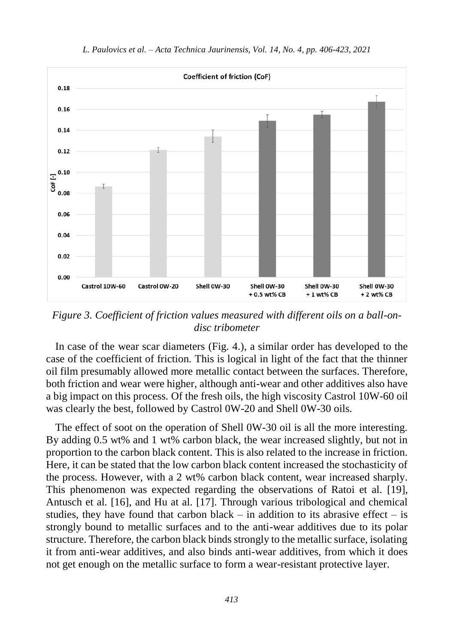

*L. Paulovics et al. – Acta Technica Jaurinensis, Vol. 14, No. 4, pp. 406-423, 2021*

*Figure 3. Coefficient of friction values measured with different oils on a ball-ondisc tribometer*

In case of the wear scar diameters (Fig. 4.), a similar order has developed to the case of the coefficient of friction. This is logical in light of the fact that the thinner oil film presumably allowed more metallic contact between the surfaces. Therefore, both friction and wear were higher, although anti-wear and other additives also have a big impact on this process. Of the fresh oils, the high viscosity Castrol 10W-60 oil was clearly the best, followed by Castrol 0W-20 and Shell 0W-30 oils.

The effect of soot on the operation of Shell 0W-30 oil is all the more interesting. By adding 0.5 wt% and 1 wt% carbon black, the wear increased slightly, but not in proportion to the carbon black content. This is also related to the increase in friction. Here, it can be stated that the low carbon black content increased the stochasticity of the process. However, with a 2 wt% carbon black content, wear increased sharply. This phenomenon was expected regarding the observations of Ratoi et al. [\[19\],](#page-16-8) Antusch et al. [\[16\],](#page-16-5) and Hu at al. [\[17\].](#page-16-6) Through various tribological and chemical studies, they have found that carbon black – in addition to its abrasive effect – is strongly bound to metallic surfaces and to the anti-wear additives due to its polar structure. Therefore, the carbon black binds strongly to the metallic surface, isolating it from anti-wear additives, and also binds anti-wear additives, from which it does not get enough on the metallic surface to form a wear-resistant protective layer.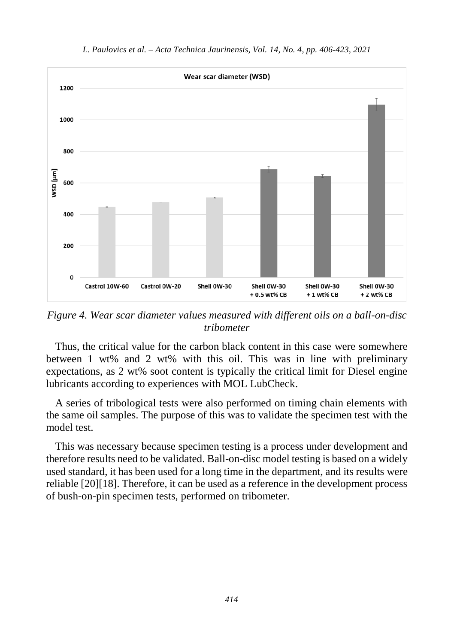

*Figure 4. Wear scar diameter values measured with different oils on a ball-on-disc tribometer*

Thus, the critical value for the carbon black content in this case were somewhere between 1 wt% and 2 wt% with this oil. This was in line with preliminary expectations, as 2 wt% soot content is typically the critical limit for Diesel engine lubricants according to experiences with MOL LubCheck.

A series of tribological tests were also performed on timing chain elements with the same oil samples. The purpose of this was to validate the specimen test with the model test.

This was necessary because specimen testing is a process under development and therefore results need to be validated. Ball-on-disc model testing is based on a widely used standard, it has been used for a long time in the department, and its results were reliabl[e \[20\]\[18\].](#page-16-9) Therefore, it can be used as a reference in the development process of bush-on-pin specimen tests, performed on tribometer.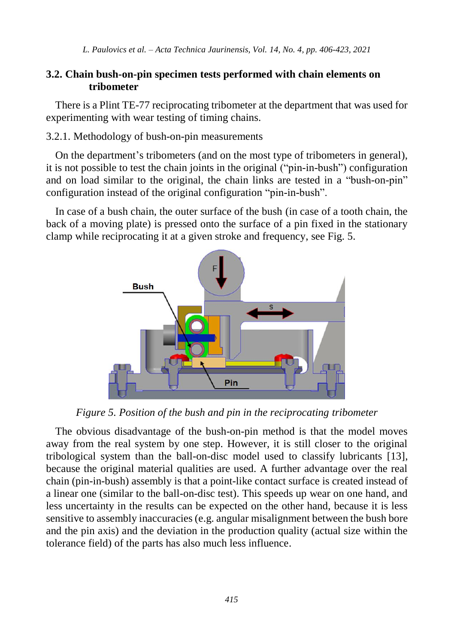### **3.2. Chain bush-on-pin specimen tests performed with chain elements on tribometer**

There is a Plint TE-77 reciprocating tribometer at the department that was used for experimenting with wear testing of timing chains.

#### 3.2.1. Methodology of bush-on-pin measurements

On the department's tribometers (and on the most type of tribometers in general), it is not possible to test the chain joints in the original ("pin-in-bush") configuration and on load similar to the original, the chain links are tested in a "bush-on-pin" configuration instead of the original configuration "pin-in-bush".

In case of a bush chain, the outer surface of the bush (in case of a tooth chain, the back of a moving plate) is pressed onto the surface of a pin fixed in the stationary clamp while reciprocating it at a given stroke and frequency, see Fig. 5.



*Figure 5. Position of the bush and pin in the reciprocating tribometer*

The obvious disadvantage of the bush-on-pin method is that the model moves away from the real system by one step. However, it is still closer to the original tribological system than the ball-on-disc model used to classify lubricants [\[13\],](#page-16-2) because the original material qualities are used. A further advantage over the real chain (pin-in-bush) assembly is that a point-like contact surface is created instead of a linear one (similar to the ball-on-disc test). This speeds up wear on one hand, and less uncertainty in the results can be expected on the other hand, because it is less sensitive to assembly inaccuracies (e.g. angular misalignment between the bush bore and the pin axis) and the deviation in the production quality (actual size within the tolerance field) of the parts has also much less influence.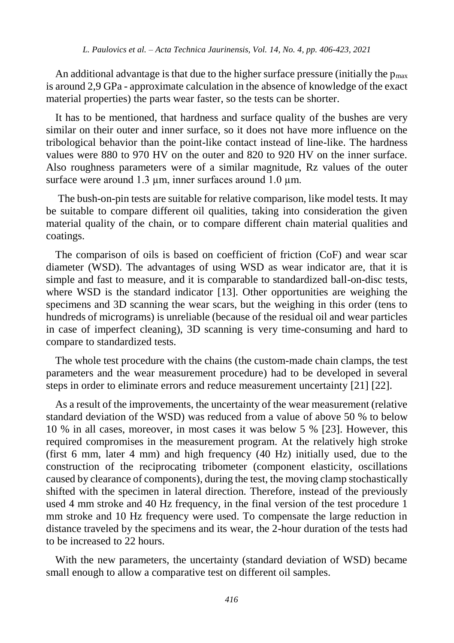An additional advantage is that due to the higher surface pressure (initially the  $p_{\text{max}}$ ) is around 2,9 GPa - approximate calculation in the absence of knowledge of the exact material properties) the parts wear faster, so the tests can be shorter.

It has to be mentioned, that hardness and surface quality of the bushes are very similar on their outer and inner surface, so it does not have more influence on the tribological behavior than the point-like contact instead of line-like. The hardness values were 880 to 970 HV on the outer and 820 to 920 HV on the inner surface. Also roughness parameters were of a similar magnitude, Rz values of the outer surface were around 1.3 um, inner surfaces around 1.0 um.

The bush-on-pin tests are suitable for relative comparison, like model tests. It may be suitable to compare different oil qualities, taking into consideration the given material quality of the chain, or to compare different chain material qualities and coatings.

The comparison of oils is based on coefficient of friction (CoF) and wear scar diameter (WSD). The advantages of using WSD as wear indicator are, that it is simple and fast to measure, and it is comparable to standardized ball-on-disc tests, where WSD is the standard indicator [\[13\].](#page-16-2) Other opportunities are weighing the specimens and 3D scanning the wear scars, but the weighing in this order (tens to hundreds of micrograms) is unreliable (because of the residual oil and wear particles in case of imperfect cleaning), 3D scanning is very time-consuming and hard to compare to standardized tests.

The whole test procedure with the chains (the custom-made chain clamps, the test parameters and the wear measurement procedure) had to be developed in several steps in order to eliminate errors and reduce measurement uncertainty [\[21\]](#page-17-0) [\[22\].](#page-17-1)

As a result of the improvements, the uncertainty of the wear measurement (relative standard deviation of the WSD) was reduced from a value of above 50 % to below 10 % in all cases, moreover, in most cases it was below 5 % [\[23\].](#page-17-2) However, this required compromises in the measurement program. At the relatively high stroke (first 6 mm, later 4 mm) and high frequency (40 Hz) initially used, due to the construction of the reciprocating tribometer (component elasticity, oscillations caused by clearance of components), during the test, the moving clamp stochastically shifted with the specimen in lateral direction. Therefore, instead of the previously used 4 mm stroke and 40 Hz frequency, in the final version of the test procedure 1 mm stroke and 10 Hz frequency were used. To compensate the large reduction in distance traveled by the specimens and its wear, the 2-hour duration of the tests had to be increased to 22 hours.

With the new parameters, the uncertainty (standard deviation of WSD) became small enough to allow a comparative test on different oil samples.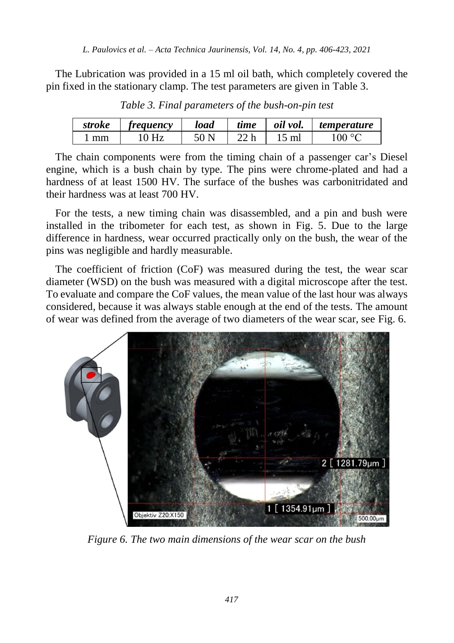<span id="page-11-0"></span>The Lubrication was provided in a 15 ml oil bath, which completely covered the pin fixed in the stationary clamp. The test parameters are given in [Table 3.](#page-11-0)

| stroke | <i>treauency</i> | load | time        | oil vol. | <i>temperature</i> |
|--------|------------------|------|-------------|----------|--------------------|
| mm     | 0 H <sub>z</sub> |      | <u>ንን ኬ</u> | ml       | $100^{\circ}$      |

*Table 3. Final parameters of the bush-on-pin test*

The chain components were from the timing chain of a passenger car's Diesel engine, which is a bush chain by type. The pins were chrome-plated and had a hardness of at least 1500 HV. The surface of the bushes was carbonitridated and their hardness was at least 700 HV.

For the tests, a new timing chain was disassembled, and a pin and bush were installed in the tribometer for each test, as shown in Fig. 5. Due to the large difference in hardness, wear occurred practically only on the bush, the wear of the pins was negligible and hardly measurable.

The coefficient of friction (CoF) was measured during the test, the wear scar diameter (WSD) on the bush was measured with a digital microscope after the test. To evaluate and compare the CoF values, the mean value of the last hour was always considered, because it was always stable enough at the end of the tests. The amount of wear was defined from the average of two diameters of the wear scar, see Fig. 6.



*Figure 6. The two main dimensions of the wear scar on the bush*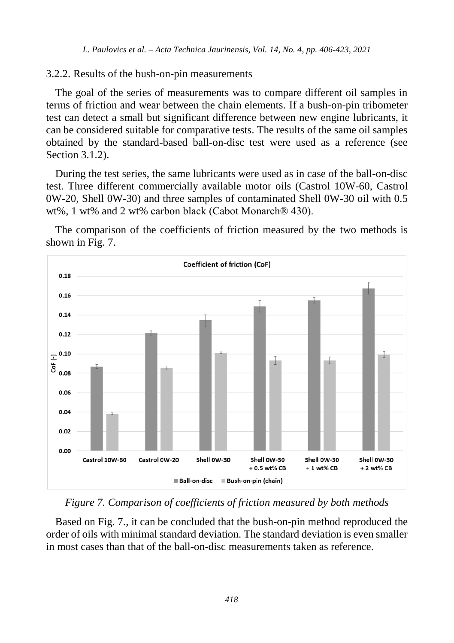#### 3.2.2. Results of the bush-on-pin measurements

The goal of the series of measurements was to compare different oil samples in terms of friction and wear between the chain elements. If a bush-on-pin tribometer test can detect a small but significant difference between new engine lubricants, it can be considered suitable for comparative tests. The results of the same oil samples obtained by the standard-based ball-on-disc test were used as a reference (see Section [3.1.2\)](#page-6-0).

During the test series, the same lubricants were used as in case of the ball-on-disc test. Three different commercially available motor oils (Castrol 10W-60, Castrol 0W-20, Shell 0W-30) and three samples of contaminated Shell 0W-30 oil with 0.5 wt%, 1 wt% and 2 wt% carbon black (Cabot Monarch® 430).



The comparison of the coefficients of friction measured by the two methods is shown in Fig. 7.

*Figure 7. Comparison of coefficients of friction measured by both methods*

Based on Fig. 7., it can be concluded that the bush-on-pin method reproduced the order of oils with minimal standard deviation. The standard deviation is even smaller in most cases than that of the ball-on-disc measurements taken as reference.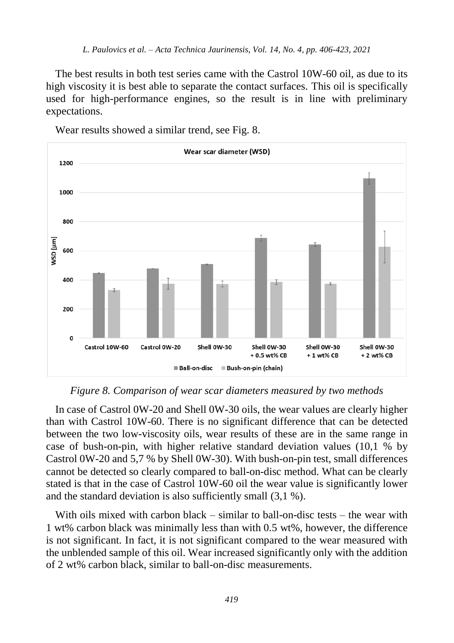The best results in both test series came with the Castrol 10W-60 oil, as due to its high viscosity it is best able to separate the contact surfaces. This oil is specifically used for high-performance engines, so the result is in line with preliminary expectations.



Wear results showed a similar trend, see Fig. 8.

*Figure 8. Comparison of wear scar diameters measured by two methods*

In case of Castrol 0W-20 and Shell 0W-30 oils, the wear values are clearly higher than with Castrol 10W-60. There is no significant difference that can be detected between the two low-viscosity oils, wear results of these are in the same range in case of bush-on-pin, with higher relative standard deviation values (10,1 % by Castrol 0W-20 and 5,7 % by Shell 0W-30). With bush-on-pin test, small differences cannot be detected so clearly compared to ball-on-disc method. What can be clearly stated is that in the case of Castrol 10W-60 oil the wear value is significantly lower and the standard deviation is also sufficiently small (3,1 %).

With oils mixed with carbon black – similar to ball-on-disc tests – the wear with 1 wt% carbon black was minimally less than with 0.5 wt%, however, the difference is not significant. In fact, it is not significant compared to the wear measured with the unblended sample of this oil. Wear increased significantly only with the addition of 2 wt% carbon black, similar to ball-on-disc measurements.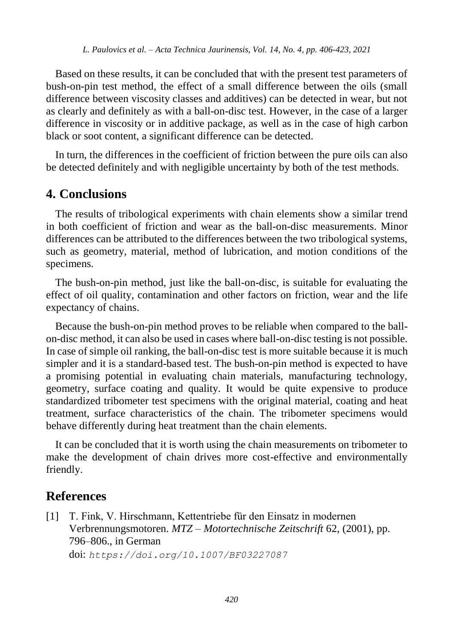Based on these results, it can be concluded that with the present test parameters of bush-on-pin test method, the effect of a small difference between the oils (small difference between viscosity classes and additives) can be detected in wear, but not as clearly and definitely as with a ball-on-disc test. However, in the case of a larger difference in viscosity or in additive package, as well as in the case of high carbon black or soot content, a significant difference can be detected.

In turn, the differences in the coefficient of friction between the pure oils can also be detected definitely and with negligible uncertainty by both of the test methods.

# **4. Conclusions**

The results of tribological experiments with chain elements show a similar trend in both coefficient of friction and wear as the ball-on-disc measurements. Minor differences can be attributed to the differences between the two tribological systems, such as geometry, material, method of lubrication, and motion conditions of the specimens.

The bush-on-pin method, just like the ball-on-disc, is suitable for evaluating the effect of oil quality, contamination and other factors on friction, wear and the life expectancy of chains.

Because the bush-on-pin method proves to be reliable when compared to the ballon-disc method, it can also be used in cases where ball-on-disc testing is not possible. In case of simple oil ranking, the ball-on-disc test is more suitable because it is much simpler and it is a standard-based test. The bush-on-pin method is expected to have a promising potential in evaluating chain materials, manufacturing technology, geometry, surface coating and quality. It would be quite expensive to produce standardized tribometer test specimens with the original material, coating and heat treatment, surface characteristics of the chain. The tribometer specimens would behave differently during heat treatment than the chain elements.

It can be concluded that it is worth using the chain measurements on tribometer to make the development of chain drives more cost-effective and environmentally friendly.

# **References**

<span id="page-14-0"></span>[1] T. Fink, V. Hirschmann, Kettentriebe für den Einsatz in modernen Verbrennungsmotoren. *MTZ – Motortechnische Zeitschrift* 62, (2001), pp. 796–806., in German doi: *https://doi.org/10.1007/BF03227087*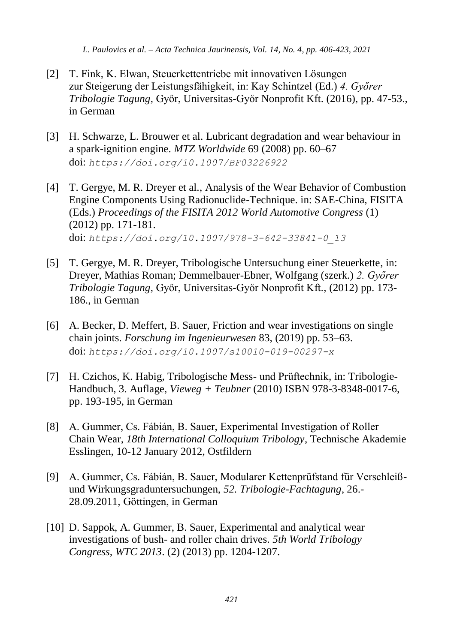- <span id="page-15-0"></span>[2] T. Fink, K. Elwan, Steuerkettentriebe mit innovativen Lösungen zur Steigerung der Leistungsfähigkeit, in: Kay Schintzel (Ed.) *4. Győrer Tribologie Tagung*, Győr, Universitas-Győr Nonprofit Kft. (2016), pp. 47-53., in German
- <span id="page-15-1"></span>[3] H. Schwarze, L. Brouwer et al. Lubricant degradation and wear behaviour in a spark-ignition engine. *MTZ Worldwide* 69 (2008) pp. 60–67 doi: *https://doi.org/10.1007/BF03226922*
- <span id="page-15-2"></span>[4] T. Gergye, M. R. Dreyer et al., Analysis of the Wear Behavior of Combustion Engine Components Using Radionuclide-Technique. in: SAE-China, FISITA (Eds.) *Proceedings of the FISITA 2012 World Automotive Congress* (1) (2012) pp. 171-181. doi: *https://doi.org/10.1007/978-3-642-33841-0\_13*
- <span id="page-15-3"></span>[5] T. Gergye, M. R. Dreyer, Tribologische Untersuchung einer Steuerkette, in: Dreyer, Mathias Roman; Demmelbauer-Ebner, Wolfgang (szerk.) *2. Győrer Tribologie Tagung*, Győr, Universitas-Győr Nonprofit Kft., (2012) pp. 173- 186., in German
- <span id="page-15-4"></span>[6] A. Becker, D. Meffert, B. Sauer, Friction and wear investigations on single chain joints. *Forschung im Ingenieurwesen* 83, (2019) pp. 53–63. doi: *https://doi.org/10.1007/s10010-019-00297-x*
- <span id="page-15-5"></span>[7] H. Czichos, K. Habig, Tribologische Mess- und Prüftechnik, in: Tribologie-Handbuch, 3. Auflage, *Vieweg + Teubner* (2010) ISBN 978-3-8348-0017-6, pp. 193-195, in German
- <span id="page-15-6"></span>[8] A. Gummer, Cs. Fábián, B. Sauer, Experimental Investigation of Roller Chain Wear, *18th International Colloquium Tribology*, Technische Akademie Esslingen, 10-12 January 2012, Ostfildern
- <span id="page-15-7"></span>[9] A. Gummer, Cs. Fábián, B. Sauer, Modularer Kettenprüfstand für Verschleißund Wirkungsgraduntersuchungen, *52. Tribologie-Fachtagung*, 26.- 28.09.2011, Göttingen, in German
- <span id="page-15-8"></span>[10] D. Sappok, A. Gummer, B. Sauer, Experimental and analytical wear investigations of bush- and roller chain drives. *5th World Tribology Congress, WTC 2013*. (2) (2013) pp. 1204-1207.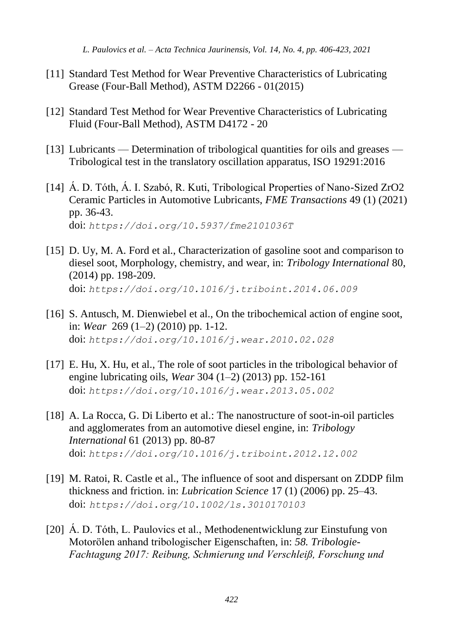- <span id="page-16-0"></span>[11] Standard Test Method for Wear Preventive Characteristics of Lubricating Grease (Four-Ball Method), ASTM D2266 - 01(2015)
- <span id="page-16-1"></span>[12] Standard Test Method for Wear Preventive Characteristics of Lubricating Fluid (Four-Ball Method), ASTM D4172 - 20
- <span id="page-16-2"></span>[13] Lubricants — Determination of tribological quantities for oils and greases — Tribological test in the translatory oscillation apparatus, ISO 19291:2016
- <span id="page-16-3"></span>[14] Á. D. Tóth, Á. I. Szabó, R. Kuti, Tribological Properties of Nano-Sized ZrO2 Ceramic Particles in Automotive Lubricants, *FME Transactions* 49 (1) (2021) pp. 36-43. doi: *https://doi.org/10.5937/fme2101036T*
- <span id="page-16-4"></span>[15] D. Uy, M. A. Ford et al., Characterization of gasoline soot and comparison to diesel soot, Morphology, chemistry, and wear, in: *Tribology International* 80, (2014) pp. 198-209. doi: *<https://doi.org/10.1016/j.triboint.2014.06.009>*
- <span id="page-16-5"></span>[16] S. Antusch, M. Dienwiebel et al., On the tribochemical action of engine soot, in: *[Wear](https://www.sciencedirect.com/science/journal/00431648)* 269 [\(1–2\)](https://www.sciencedirect.com/science/journal/00431648/269/1) (2010) pp. 1-12. doi: *<https://doi.org/10.1016/j.wear.2010.02.028>*
- <span id="page-16-6"></span>[17] E. Hu, X. Hu, et al., The role of soot particles in the tribological behavior of engine lubricating oils, *Wear* 304 (1–2) (2013) pp. 152-161 doi: *<https://doi.org/10.1016/j.wear.2013.05.002>*
- <span id="page-16-7"></span>[18] [A. La Rocca, G. Di Liberto e](http://www.sciencedirect.com/science/article/pii/S0301679X12003994#%21)t al.: The nanostructure of soot-in-oil particles and agglomerates from an automotive diesel engine, in: *Tribology International* [61](http://www.sciencedirect.com/science/journal/0301679X/61/supp/C) (2013) pp. 80-87 doi: *https://doi.org/10.1016/j.triboint.2012.12.002*
- <span id="page-16-8"></span>[19] M. Ratoi, R. Castle et al., The influence of soot and dispersant on ZDDP film thickness and friction. in: *Lubrication Science* 17 (1) (2006) pp. 25–43. doi: *<https://doi.org/10.1002/ls.3010170103>*
- <span id="page-16-9"></span>[20] Á. D. Tóth, L. Paulovics et al., Methodenentwicklung zur Einstufung von Motorölen anhand tribologischer Eigenschaften, in: *58. Tribologie-Fachtagung 2017: Reibung, Schmierung und Verschleiß, Forschung und*